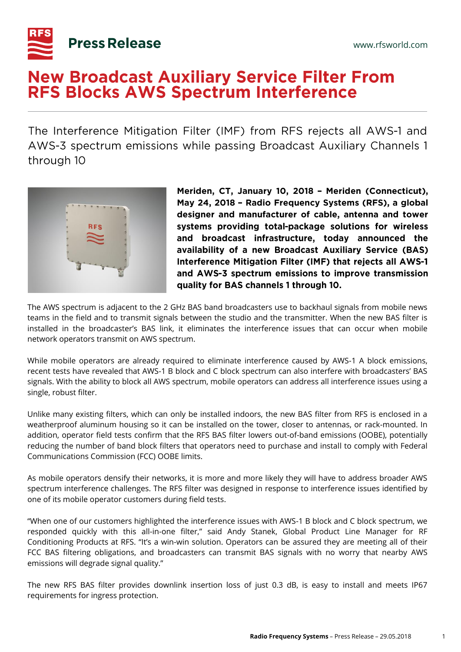

## **New Broadcast Auxiliary Service Filter From RFS Blocks AWS Spectrum Interference**

The Interference Mitigation Filter (IMF) from RFS rejects all AWS-1 and AWS-3 spectrum emissions while passing Broadcast Auxiliary Channels 1 through 10



Meriden, CT, January 10, 2018 - Meriden (Connecticut), May 24, 2018 - Radio Frequency Systems (RFS), a global designer and manufacturer of cable, antenna and tower systems providing total-package solutions for wireless and broadcast infrastructure, today announced the availability of a new Broadcast Auxiliary Service (BAS) Interference Mitigation Filter (IMF) that rejects all AWS-1 and AWS-3 spectrum emissions to improve transmission quality for BAS channels 1 through 10.

The AWS spectrum is adjacent to the 2 GHz BAS band broadcasters use to backhaul signals from mobile news teams in the field and to transmit signals between the studio and the transmitter. When the new BAS filter is installed in the broadcaster's BAS link, it eliminates the interference issues that can occur when mobile network operators transmit on AWS spectrum.

While mobile operators are already required to eliminate interference caused by AWS-1 A block emissions, recent tests have revealed that AWS-1 B block and C block spectrum can also interfere with broadcasters' BAS signals. With the ability to block all AWS spectrum, mobile operators can address all interference issues using a single, robust filter.

Unlike many existing filters, which can only be installed indoors, the new BAS filter from RFS is enclosed in a weatherproof aluminum housing so it can be installed on the tower, closer to antennas, or rack-mounted. In addition, operator field tests confirm that the RFS BAS filter lowers out-of-band emissions (OOBE), potentially reducing the number of band block filters that operators need to purchase and install to comply with Federal Communications Commission (FCC) OOBE limits.

As mobile operators densify their networks, it is more and more likely they will have to address broader AWS spectrum interference challenges. The RFS filter was designed in response to interference issues identified by one of its mobile operator customers during field tests.

"When one of our customers highlighted the interference issues with AWS-1 B block and C block spectrum, we responded quickly with this all-in-one filter," said Andy Stanek, Global Product Line Manager for RF Conditioning Products at RFS. "It's a win-win solution. Operators can be assured they are meeting all of their FCC BAS filtering obligations, and broadcasters can transmit BAS signals with no worry that nearby AWS emissions will degrade signal quality."

The new RFS BAS filter provides downlink insertion loss of just 0.3 dB, is easy to install and meets IP67 requirements for ingress protection.